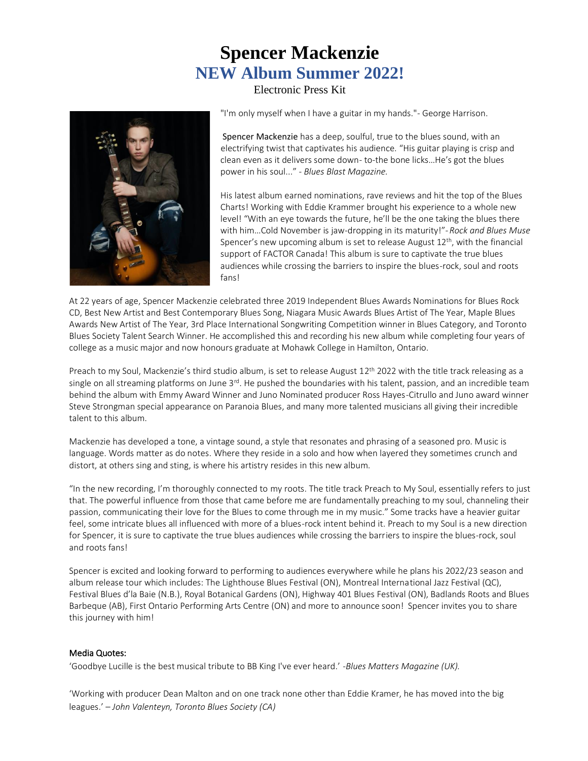# **Spencer Mackenzie NEW Album Summer 2022!**

Electronic Press Kit

"I'm only myself when I have a guitar in my hands."- George Harrison.

 Spencer Mackenzie has a deep, soulful, true to the blues sound, with an electrifying twist that captivates his audience. "His guitar playing is crisp and clean even as it delivers some down- to-the bone licks…He's got the blues power in his soul..." - *Blues Blast Magazine.*

 His latest album earned nominations, rave reviews and hit the top of the Blues Charts! Working with Eddie Krammer brought his experience to a whole new level! "With an eye towards the future, he'll be the one taking the blues there with him…Cold November is jaw-dropping in its maturity!"-*Rock and Blues Muse*  Spencer's new upcoming album is set to release August 12<sup>th</sup>, with the financial support of FACTOR Canada! This album is sure to captivate the true blues audiences while crossing the barriers to inspire the blues-rock, soul and roots fans!

At 22 years of age, Spencer Mackenzie celebrated three 2019 Independent Blues Awards Nominations for Blues Rock CD, Best New Artist and Best Contemporary Blues Song, Niagara Music Awards Blues Artist of The Year, Maple Blues Awards New Artist of The Year, 3rd Place International Songwriting Competition winner in Blues Category, and Toronto Blues Society Talent Search Winner. He accomplished this and recording his new album while completing four years of college as a music major and now honours graduate at Mohawk College in Hamilton, Ontario.

Preach to my Soul, Mackenzie's third studio album, is set to release August 12<sup>th</sup> 2022 with the title track releasing as a single on all streaming platforms on June  $3<sup>rd</sup>$ . He pushed the boundaries with his talent, passion, and an incredible team behind the album with Emmy Award Winner and Juno Nominated producer Ross Hayes-Citrullo and Juno award winner Steve Strongman special appearance on Paranoia Blues, and many more talented musicians all giving their incredible talent to this album.

Mackenzie has developed a tone, a vintage sound, a style that resonates and phrasing of a seasoned pro. Music is language. Words matter as do notes. Where they reside in a solo and how when layered they sometimes crunch and distort, at others sing and sting, is where his artistry resides in this new album.

"In the new recording, I'm thoroughly connected to my roots. The title track Preach to My Soul, essentially refers to just that. The powerful influence from those that came before me are fundamentally preaching to my soul, channeling their passion, communicating their love for the Blues to come through me in my music." Some tracks have a heavier guitar feel, some intricate blues all influenced with more of a blues-rock intent behind it. Preach to my Soul is a new direction for Spencer, it is sure to captivate the true blues audiences while crossing the barriers to inspire the blues-rock, soul and roots fans!

Spencer is excited and looking forward to performing to audiences everywhere while he plans his 2022/23 season and album release tour which includes: The Lighthouse Blues Festival (ON), Montreal International Jazz Festival (QC), Festival Blues d'la Baie (N.B.), Royal Botanical Gardens (ON), Highway 401 Blues Festival (ON), Badlands Roots and Blues Barbeque (AB), First Ontario Performing Arts Centre (ON) and more to announce soon! Spencer invites you to share this journey with him!

## Media Quotes:

'Goodbye Lucille is the best musical tribute to BB King I've ever heard.' -*Blues Matters Magazine (UK).*

'Working with producer Dean Malton and on one track none other than Eddie Kramer, he has moved into the big leagues.' – *John Valenteyn, Toronto Blues Society (CA)*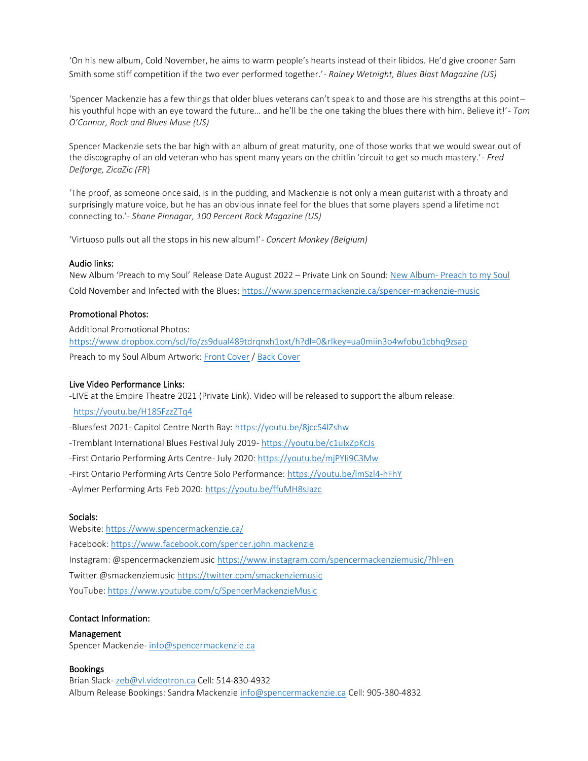'On his new album, Cold November, he aims to warm people's hearts instead of their libidos. He'd give crooner Sam Smith some stiff competition if the two ever performed together.'- *Rainey Wetnight, Blues Blast Magazine (US)*

'Spencer Mackenzie has a few things that older blues veterans can't speak to and those are his strengths at this point– his youthful hope with an eye toward the future… and he'll be the one taking the blues there with him. Believe it!'- *Tom O'Connor, Rock and Blues Muse (US)*

Spencer Mackenzie sets the bar high with an album of great maturity, one of those works that we would swear out of the discography of an old veteran who has spent many years on the chitlin 'circuit to get so much mastery.'- *Fred Delforge, ZicaZic (FR*)

'The proof, as someone once said, is in the pudding, and Mackenzie is not only a mean guitarist with a throaty and surprisingly mature voice, but he has an obvious innate feel for the blues that some players spend a lifetime not connecting to.'- *Shane Pinnagar, 100 Percent Rock Magazine (US)*

'Virtuoso pulls out all the stops in his new album!'- *Concert Monkey (Belgium)*

#### Audio links:

New Album '[Preach to my Soul](https://soundcloud.com/spencermackenziemusic/sets/preach-to-my-soul/s-YS1MMudmYz8?si=19ab135d32564d288d9f935586e96b6b)' Release Date August 2022 – Private Link on Sound: New Album- Preach to my Soul Cold November and Infected with the Blues:<https://www.spencermackenzie.ca/spencer-mackenzie-music>

## Promotional Photos:

Additional Promotional Photos: <https://www.dropbox.com/scl/fo/zs9dual489tdrqnxh1oxt/h?dl=0&rlkey=ua0miin3o4wfobu1cbhq9zsap> Preach to my Soul Album Artwork: [Front Cover](https://www.dropbox.com/s/ym741wznhidqo0e/SMPTMS_Front_Cover_2022.jpg?dl=0) / [Back Cover](https://www.dropbox.com/s/zoaou4sw80ln5ep/SMPTMS_Back_Cover_2022.jpg?dl=0) 

### Live Video Performance Links:

-LIVE at the Empire Theatre 2021 (Private Link). Video will be released to support the album release:

<https://youtu.be/H185FzzZTq4>

-Bluesfest 2021- Capitol Centre North Bay[: https://youtu.be/8jccS4lZshw](https://youtu.be/8jccS4lZshw)

- -Tremblant International Blues Festival July 2019- <https://youtu.be/c1uIxZpKcJs>
- -First Ontario Performing Arts Centre- July 2020[: https://youtu.be/mjPYIi9C3Mw](https://youtu.be/mjPYIi9C3Mw)
- -First Ontario Performing Arts Centre Solo Performance:<https://youtu.be/lmSzl4-hFhY>

-Aylmer Performing Arts Feb 2020:<https://youtu.be/ffuMH8sJazc>

#### Socials:

Website:<https://www.spencermackenzie.ca/> Facebook[: https://www.facebook.com/spencer.john.mackenzie](https://www.facebook.com/spencer.john.mackenzie) Instagram: @spencermackenziemusic<https://www.instagram.com/spencermackenziemusic/?hl=en> Twitter @smackenziemusi[c https://twitter.com/smackenziemusic](https://twitter.com/smackenziemusic) YouTube[: https://www.youtube.com/c/SpencerMackenzieMusic](https://www.youtube.com/c/SpencerMackenzieMusic)

## Contact Information:

#### Management

Spencer Mackenzie- [info@spencermackenzie.ca](mailto:info@spencermackenzie.ca) 

## Bookings

Brian Slack- [zeb@vl.videotron.ca](mailto:zeb@vl.videotron.ca) Cell: 514-830-4932 Album Release Bookings: Sandra Mackenzie [info@spencermackenzie.ca](mailto:info@spencermackenzie.ca) Cell: 905-380-4832